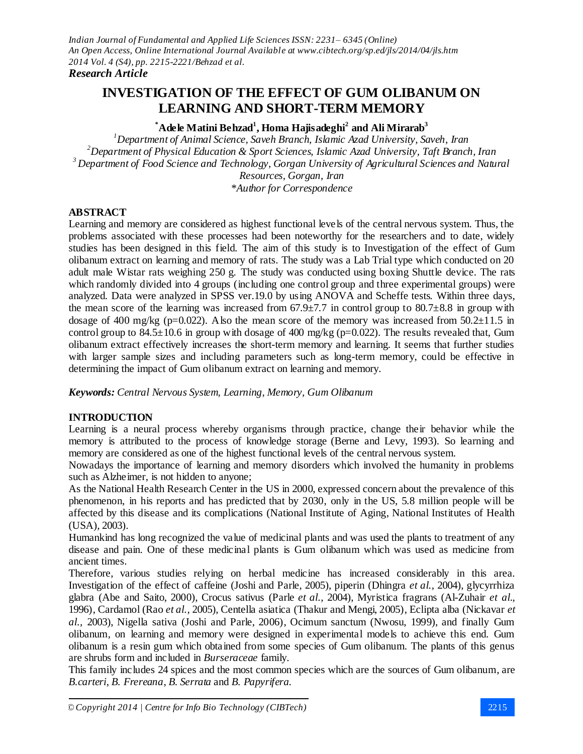# **INVESTIGATION OF THE EFFECT OF GUM OLIBANUM ON LEARNING AND SHORT-TERM MEMORY**

# **\*Adele Matini Behzad<sup>1</sup> , Homa Hajisadeghi<sup>2</sup> and Ali Mirarab<sup>3</sup>**

*<sup>1</sup>Department of Animal Science, Saveh Branch, Islamic Azad University, Saveh, Iran <sup>2</sup>Department of Physical Education & Sport Sciences, Islamic Azad University, Taft Branch, Iran <sup>3</sup> Department of Food Science and Technology, Gorgan University of Agricultural Sciences and Natural Resources, Gorgan, Iran \*Author for Correspondence*

#### **ABSTRACT**

Learning and memory are considered as highest functional levels of the central nervous system. Thus, the problems associated with these processes had been noteworthy for the researchers and to date, widely studies has been designed in this field. The aim of this study is to Investigation of the effect of Gum olibanum extract on learning and memory of rats. The study was a Lab Trial type which conducted on 20 adult male Wistar rats weighing 250 g. The study was conducted using boxing Shuttle device. The rats which randomly divided into 4 groups (including one control group and three experimental groups) were analyzed. Data were analyzed in SPSS ver.19.0 by using ANOVA and Scheffe tests. Within three days, the mean score of the learning was increased from  $67.9\pm7.7$  in control group to  $80.7\pm8.8$  in group with dosage of 400 mg/kg (p=0.022). Also the mean score of the memory was increased from  $50.2\pm11.5$  in control group to  $84.5 \pm 10.6$  in group with dosage of 400 mg/kg (p=0.022). The results revealed that, Gum olibanum extract effectively increases the short-term memory and learning. It seems that further studies with larger sample sizes and including parameters such as long-term memory, could be effective in determining the impact of Gum olibanum extract on learning and memory.

*Keywords: Central Nervous System, Learning, Memory, Gum Olibanum*

# **INTRODUCTION**

Learning is a neural process whereby organisms through practice, change their behavior while the memory is attributed to the process of knowledge storage (Berne and Levy, 1993). So learning and memory are considered as one of the highest functional levels of the central nervous system.

Nowadays the importance of learning and memory disorders which involved the humanity in problems such as Alzheimer, is not hidden to anyone;

As the National Health Research Center in the US in 2000, expressed concern about the prevalence of this phenomenon, in his reports and has predicted that by 2030, only in the US, 5.8 million people will be affected by this disease and its complications (National Institute of Aging, National Institutes of Health (USA), 2003).

Humankind has long recognized the value of medicinal plants and was used the plants to treatment of any disease and pain. One of these medicinal plants is Gum olibanum which was used as medicine from ancient times.

Therefore, various studies relying on herbal medicine has increased considerably in this area. Investigation of the effect of caffeine (Joshi and Parle, 2005), piperin (Dhingra *et al.,* 2004), glycyrrhiza glabra (Abe and Saito, 2000), Crocus sativus (Parle *et al.,* 2004), Myristica fragrans (Al-Zuhair *et al.,* 1996), Cardamol (Rao *et al.,* 2005), Centella asiatica (Thakur and Mengi, 2005), Eclipta alba (Nickavar *et al.,* 2003), Nigella sativa (Joshi and Parle, 2006), Ocimum sanctum (Nwosu, 1999), and finally Gum olibanum, on learning and memory were designed in experimental models to achieve this end. Gum olibanum is a resin gum which obtained from some species of Gum olibanum. The plants of this genus are shrubs form and included in *Burseraceae* family.

This family includes 24 spices and the most common species which are the sources of Gum olibanum, are *B.carteri*, *B. Frereana*, *B. Serrata* and *B. Papyrifera*.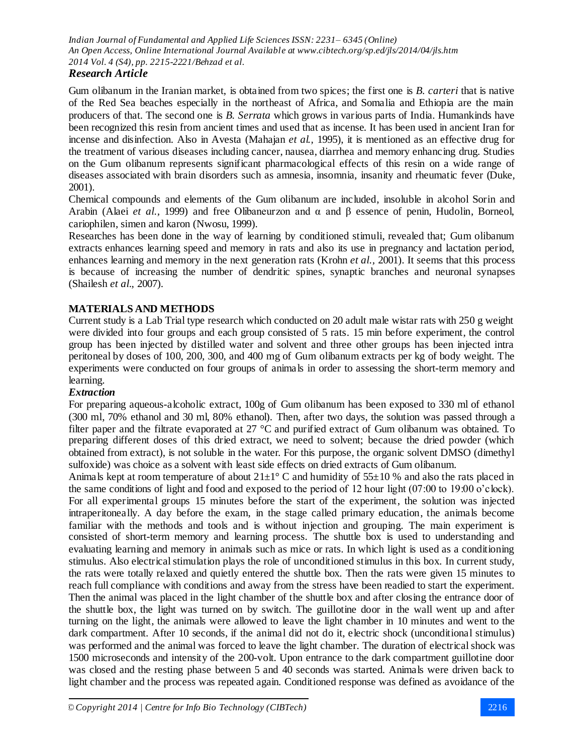# *Research Article*

Gum olibanum in the Iranian market, is obtained from two spices; the first one is *B. carteri* that is native of the Red Sea beaches especially in the northeast of Africa, and Somalia and Ethiopia are the main producers of that. The second one is *B. Serrata* which grows in various parts of India. Humankinds have been recognized this resin from ancient times and used that as incense. It has been used in ancient Iran for incense and disinfection. Also in Avesta (Mahajan *et al.,* 1995), it is mentioned as an effective drug for the treatment of various diseases including cancer, nausea, diarrhea and memory enhancing drug. Studies on the Gum olibanum represents significant pharmacological effects of this resin on a wide range of diseases associated with brain disorders such as amnesia, insomnia, insanity and rheumatic fever (Duke, 2001).

Chemical compounds and elements of the Gum olibanum are included, insoluble in alcohol Sorin and Arabin (Alaei *et al.,* 1999) and free Olibaneurzon and α and β essence of penin, Hudolin, Borneol, cariophilen, simen and karon (Nwosu, 1999).

Researches has been done in the way of learning by conditioned stimuli, revealed that; Gum olibanum extracts enhances learning speed and memory in rats and also its use in pregnancy and lactation period, enhances learning and memory in the next generation rats (Krohn *et al.,* 2001). It seems that this process is because of increasing the number of dendritic spines, synaptic branches and neuronal synapses (Shailesh *et al.,* 2007).

# **MATERIALS AND METHODS**

Current study is a Lab Trial type research which conducted on 20 adult male wistar rats with 250 g weight were divided into four groups and each group consisted of 5 rats. 15 min before experiment, the control group has been injected by distilled water and solvent and three other groups has been injected intra peritoneal by doses of 100, 200, 300, and 400 mg of Gum olibanum extracts per kg of body weight. The experiments were conducted on four groups of animals in order to assessing the short-term memory and learning.

#### *Extraction*

For preparing aqueous-alcoholic extract, 100g of Gum olibanum has been exposed to 330 ml of ethanol (300 ml, 70% ethanol and 30 ml, 80% ethanol). Then, after two days, the solution was passed through a filter paper and the filtrate evaporated at 27 °C and purified extract of Gum olibanum was obtained. To preparing different doses of this dried extract, we need to solvent; because the dried powder (which obtained from extract), is not soluble in the water. For this purpose, the organic solvent DMSO (dimethyl sulfoxide) was choice as a solvent with least side effects on dried extracts of Gum olibanum.

Animals kept at room temperature of about  $21 \pm 1^\circ$  C and humidity of 55 $\pm$ 10 % and also the rats placed in the same conditions of light and food and exposed to the period of 12 hour light (07:00 to 19:00 o'clock). For all experimental groups 15 minutes before the start of the experiment, the solution was injected intraperitoneally. A day before the exam, in the stage called primary education, the animals become familiar with the methods and tools and is without injection and grouping. The main experiment is consisted of short-term memory and learning process. The shuttle box is used to understanding and evaluating learning and memory in animals such as mice or rats. In which light is used as a conditioning stimulus. Also electrical stimulation plays the role of unconditioned stimulus in this box. In current study, the rats were totally relaxed and quietly entered the shuttle box. Then the rats were given 15 minutes to reach full compliance with conditions and away from the stress have been readied to start the experiment. Then the animal was placed in the light chamber of the shuttle box and after closing the entrance door of the shuttle box, the light was turned on by switch. The guillotine door in the wall went up and after turning on the light, the animals were allowed to leave the light chamber in 10 minutes and went to the dark compartment. After 10 seconds, if the animal did not do it, electric shock (unconditional stimulus) was performed and the animal was forced to leave the light chamber. The duration of electrical shock was 1500 microseconds and intensity of the 200-volt. Upon entrance to the dark compartment guillotine door was closed and the resting phase between 5 and 40 seconds was started. Animals were driven back to light chamber and the process was repeated again. Conditioned response was defined as avoidance of the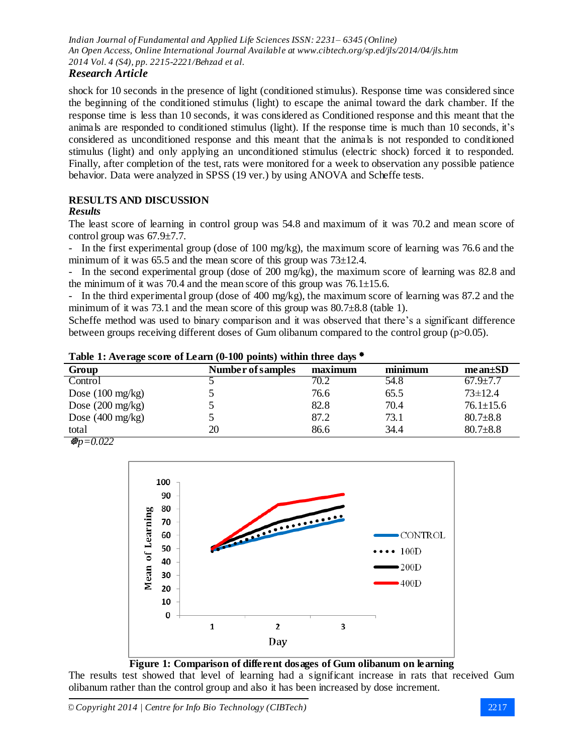# *Research Article*

shock for 10 seconds in the presence of light (conditioned stimulus). Response time was considered since the beginning of the conditioned stimulus (light) to escape the animal toward the dark chamber. If the response time is less than 10 seconds, it was considered as Conditioned response and this meant that the animals are responded to conditioned stimulus (light). If the response time is much than 10 seconds, it's considered as unconditioned response and this meant that the animals is not responded to conditioned stimulus (light) and only applying an unconditioned stimulus (electric shock) forced it to responded. Finally, after completion of the test, rats were monitored for a week to observation any possible patience behavior. Data were analyzed in SPSS (19 ver.) by using ANOVA and Scheffe tests.

# **RESULTS AND DISCUSSION**

## *Results*

The least score of learning in control group was 54.8 and maximum of it was 70.2 and mean score of control group was 67.9±7.7.

- In the first experimental group (dose of 100 mg/kg), the maximum score of learning was 76.6 and the minimum of it was  $65.5$  and the mean score of this group was  $73\pm12.4$ .

- In the second experimental group (dose of 200 mg/kg), the maximum score of learning was 82.8 and the minimum of it was 70.4 and the mean score of this group was  $76.1 \pm 15.6$ .

- In the third experimental group (dose of 400 mg/kg), the maximum score of learning was 87.2 and the minimum of it was 73.1 and the mean score of this group was  $80.7\pm8.8$  (table 1).

Scheffe method was used to binary comparison and it was observed that there's a significant difference between groups receiving different doses of Gum olibanum compared to the control group (p>0.05).

| Table 1. Average score of Ecarn (0-100 points) within three days |                   |         |         |                 |  |  |
|------------------------------------------------------------------|-------------------|---------|---------|-----------------|--|--|
| Group                                                            | Number of samples | maximum | minimum | $mean \pm SD$   |  |  |
| Control                                                          |                   | 70.2    | 54.8    | $67.9 \pm 7.7$  |  |  |
| Dose $(100 \text{ mg/kg})$                                       |                   | 76.6    | 65.5    | $73 \pm 12.4$   |  |  |
| Dose $(200 \text{ mg/kg})$                                       |                   | 82.8    | 70.4    | $76.1 \pm 15.6$ |  |  |
| Dose $(400 \text{ mg/kg})$                                       |                   | 87.2    | 73.1    | $80.7 \pm 8.8$  |  |  |
| total                                                            | 20                | 86.6    | 34.4    | $80.7 \pm 8.8$  |  |  |

**Table 1: Average score of Learn (0-100 points) within three days**

 $\mathcal{B}p = 0.022$ 



**Figure 1: Comparison of different dosages of Gum olibanum on learning**

The results test showed that level of learning had a significant increase in rats that received Gum olibanum rather than the control group and also it has been increased by dose increment.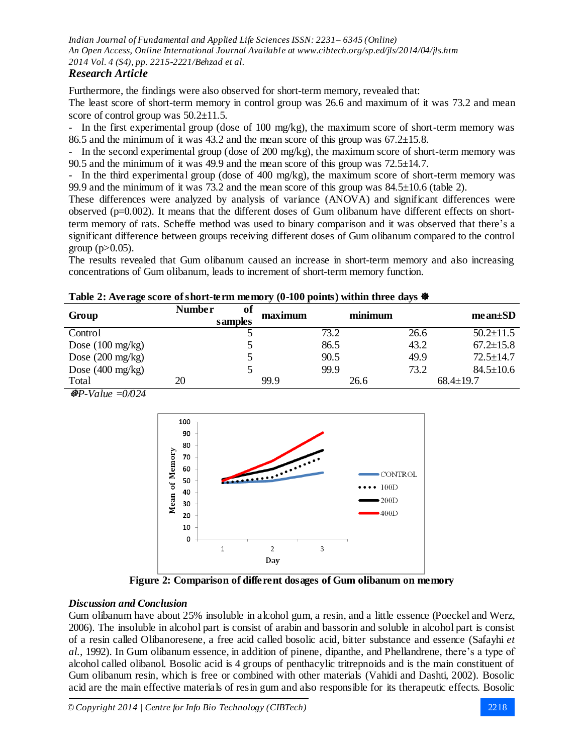# *Research Article*

Furthermore, the findings were also observed for short-term memory, revealed that: The least score of short-term memory in control group was 26.6 and maximum of it was 73.2 and mean score of control group was  $50.2 \pm 11.5$ .

- In the first experimental group (dose of 100 mg/kg), the maximum score of short-term memory was 86.5 and the minimum of it was  $43.2$  and the mean score of this group was  $67.2 \pm 15.8$ .

- In the second experimental group (dose of 200 mg/kg), the maximum score of short-term memory was 90.5 and the minimum of it was 49.9 and the mean score of this group was  $72.5\pm14.7$ .

- In the third experimental group (dose of 400 mg/kg), the maximum score of short-term memory was 99.9 and the minimum of it was 73.2 and the mean score of this group was 84.5±10.6 (table 2).

These differences were analyzed by analysis of variance (ANOVA) and significant differences were observed (p=0.002). It means that the different doses of Gum olibanum have different effects on shortterm memory of rats. Scheffe method was used to binary comparison and it was observed that there's a significant difference between groups receiving different doses of Gum olibanum compared to the control group  $(p>0.05)$ .

The results revealed that Gum olibanum caused an increase in short-term memory and also increasing concentrations of Gum olibanum, leads to increment of short-term memory function.

#### **Table 2: Average score of short-term memory (0-100 points) within three days**

| Group                      | <b>Number</b><br>of | maximum | minimum | $mean \pm SD$   |
|----------------------------|---------------------|---------|---------|-----------------|
| Control                    | samples             | 73.2    | 26.6    | $50.2 \pm 11.5$ |
|                            |                     |         | 43.2    | $67.2 \pm 15.8$ |
| Dose $(100 \text{ mg/kg})$ |                     | 86.5    |         |                 |
| Dose $(200 \text{ mg/kg})$ |                     | 90.5    | 49.9    | $72.5 \pm 14.7$ |
| Dose $(400 \text{ mg/kg})$ |                     | 99.9    | 73.2    | $84.5 \pm 10.6$ |
| Total                      | 20                  | 99.9    | 26.6    | $68.4 \pm 19.7$ |

*P-Value =0/024*



**Figure 2: Comparison of different dosages of Gum olibanum on memory**

#### *Discussion and Conclusion*

Gum olibanum have about 25% insoluble in alcohol gum, a resin, and a little essence (Poeckel and Werz, 2006). The insoluble in alcohol part is consist of arabin and bassorin and soluble in alcohol part is consist of a resin called Olibanoresene, a free acid called bosolic acid, bitter substance and essence (Safayhi *et al.,* 1992). In Gum olibanum essence, in addition of pinene, dipanthe, and Phellandrene, there's a type of alcohol called olibanol. Bosolic acid is 4 groups of penthacylic tritrepnoids and is the main constituent of Gum olibanum resin, which is free or combined with other materials (Vahidi and Dashti, 2002). Bosolic acid are the main effective materials of resin gum and also responsible for its therapeutic effects. Bosolic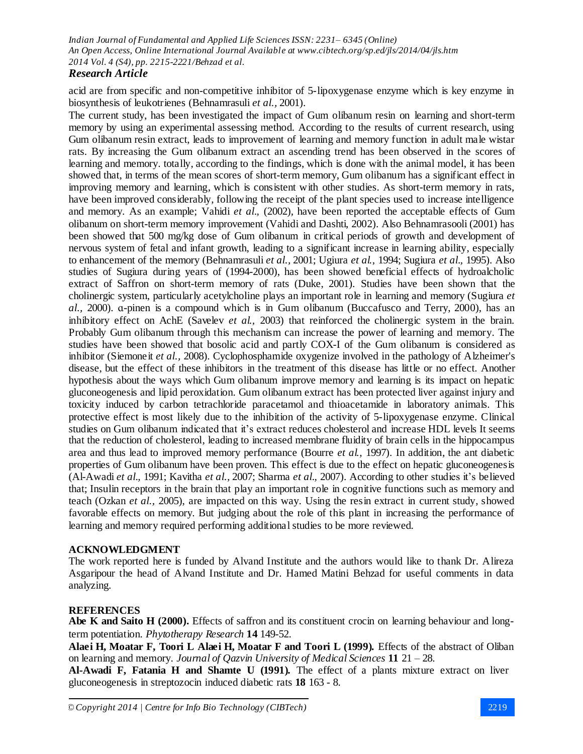## *Research Article*

acid are from specific and non-competitive inhibitor of 5-lipoxygenase enzyme which is key enzyme in biosynthesis of leukotrienes (Behnamrasuli *et al.,* 2001).

The current study, has been investigated the impact of Gum olibanum resin on learning and short-term memory by using an experimental assessing method. According to the results of current research, using Gum olibanum resin extract, leads to improvement of learning and memory function in adult male wistar rats. By increasing the Gum olibanum extract an ascending trend has been observed in the scores of learning and memory. totally, according to the findings, which is done with the animal model, it has been showed that, in terms of the mean scores of short-term memory, Gum olibanum has a significant effect in improving memory and learning, which is consistent with other studies. As short-term memory in rats, have been improved considerably, following the receipt of the plant species used to increase intelligence and memory. As an example; Vahidi *et al.,* (2002), have been reported the acceptable effects of Gum olibanum on short-term memory improvement (Vahidi and Dashti, 2002). Also Behnamrasooli (2001) has been showed that 500 mg/kg dose of Gum olibanum in critical periods of growth and development of nervous system of fetal and infant growth, leading to a significant increase in learning ability, especially to enhancement of the memory (Behnamrasuli *et al.,* 2001; Ugiura *et al.,* 1994; Sugiura *et al.,* 1995). Also studies of Sugiura during years of (1994-2000), has been showed beneficial effects of hydroalcholic extract of Saffron on short-term memory of rats (Duke, 2001). Studies have been shown that the cholinergic system, particularly acetylcholine plays an important role in learning and memory (Sugiura *et al.,* 2000). ɑ-pinen is a compound which is in Gum olibanum (Buccafusco and Terry, 2000), has an inhibitory effect on AchE (Savelev *et al.,* 2003) that reinforced the cholinergic system in the brain. Probably Gum olibanum through this mechanism can increase the power of learning and memory. The studies have been showed that bosolic acid and partly COX-I of the Gum olibanum is considered as inhibitor (Siemoneit *et al.,* 2008). Cyclophosphamide oxygenize involved in the pathology of Alzheimer's disease, but the effect of these inhibitors in the treatment of this disease has little or no effect. Another hypothesis about the ways which Gum olibanum improve memory and learning is its impact on hepatic gluconeogenesis and lipid peroxidation. Gum olibanum extract has been protected liver against injury and toxicity induced by carbon tetrachloride paracetamol and thioacetamide in laboratory animals. This protective effect is most likely due to the inhibition of the activity of 5-lipoxygenase enzyme. Clinical studies on Gum olibanum indicated that it's extract reduces cholesterol and increase HDL levels It seems that the reduction of cholesterol, leading to increased membrane fluidity of brain cells in the hippocampus area and thus lead to improved memory performance (Bourre *et al.,* 1997). In addition, the ant diabetic properties of Gum olibanum have been proven. This effect is due to the effect on hepatic gluconeogenesis (Al-Awadi *et al.,* 1991; Kavitha *et al.,* 2007; Sharma *et al.,* 2007). According to other studies it's believed that; Insulin receptors in the brain that play an important role in cognitive functions such as memory and teach (Ozkan *et al.,* 2005), are impacted on this way. Using the resin extract in current study, showed favorable effects on memory. But judging about the role of this plant in increasing the performance of learning and memory required performing additional studies to be more reviewed.

#### **ACKNOWLEDGMENT**

The work reported here is funded by Alvand Institute and the authors would like to thank Dr. Alireza Asgaripour the head of Alvand Institute and Dr. Hamed Matini Behzad for useful comments in data analyzing.

#### **REFERENCES**

**Abe K and Saito H (2000).** Effects of saffron and its constituent crocin on learning behaviour and longterm potentiation. *Phytotherapy Research* **14** 149-52.

**Alaei H, Moatar F, Toori L Alaei H, Moatar F and Toori L (1999).** Effects of the abstract of Oliban on learning and memory. *Journal of Qazvin University of Medical Sciences* **11** 21 – 28.

**Al-Awadi F, Fatania H and Shamte U (1991).** The effect of a plants mixture extract on liver gluconeogenesis in streptozocin induced diabetic rats **18** 163 - 8.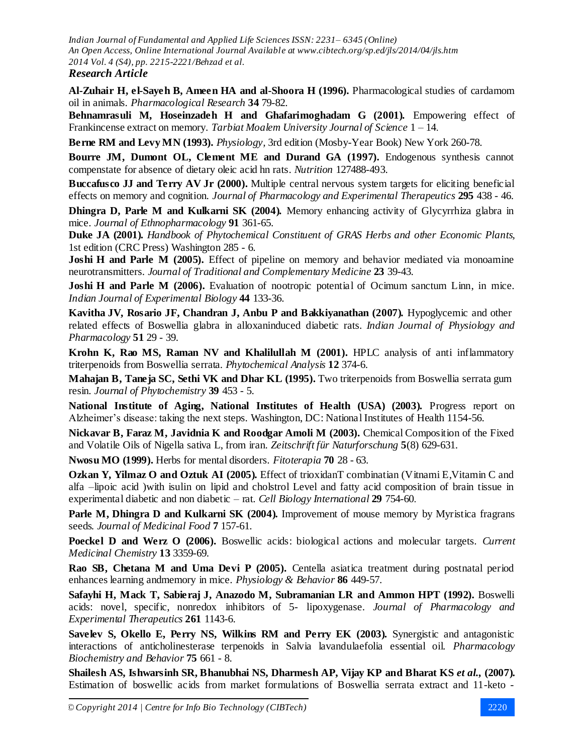**Al-Zuhair H, el-Sayeh B, Ameen HA and al-Shoora H (1996).** Pharmacological studies of cardamom oil in animals. *Pharmacological Research* **34** 79-82.

**Behnamrasuli M, Hoseinzadeh H and Ghafarimoghadam G (2001).** Empowering effect of Frankincense extract on memory. *Tarbiat Moalem University Journal of Science* 1 – 14.

**Berne RM and Levy MN (1993).** *Physiology,* 3rd edition (Mosby-Year Book) New York 260-78.

**Bourre JM, Dumont OL, Clement ME and Durand GA (1997).** Endogenous synthesis cannot compenstate for absence of dietary oleic acid hn rats. *Nutrition* 127488-493.

**Buccafusco JJ and Terry AV Jr (2000).** Multiple central nervous system targets for eliciting beneficial effects on memory and cognition. *Journal of Pharmacology and Experimental Therapeutics* **295** 438 - 46.

**Dhingra D, Parle M and Kulkarni SK (2004).** Memory enhancing activity of Glycyrrhiza glabra in mice. *Journal of Ethnopharmacology* **91** 361-65.

**Duke JA (2001).** *Handbook of Phytochemical Constituent of GRAS Herbs and other Economic Plants,* 1st edition (CRC Press) Washington 285 - 6.

**Joshi H and Parle M (2005).** Effect of pipeline on memory and behavior mediated via monoamine neurotransmitters. *Journal of Traditional and Complementary Medicine* **23** 39-43.

**Joshi H and Parle M (2006).** Evaluation of nootropic potential of Ocimum sanctum Linn, in mice. *Indian Journal of Experimental Biology* **44** 133-36.

**Kavitha JV, Rosario JF, Chandran J, Anbu P and Bakkiyanathan (2007).** Hypoglycemic and other related effects of Boswellia glabra in alloxaninduced diabetic rats. *Indian Journal of Physiology and Pharmacology* **51** 29 - 39.

**Krohn K, Rao MS, Raman NV and Khalilullah M (2001).** HPLC analysis of anti inflammatory triterpenoids from Boswellia serrata. *Phytochemical Analysis* **12** 374-6.

**Mahajan B, Taneja SC, Sethi VK and Dhar KL (1995).** Two triterpenoids from Boswellia serrata gum resin. *Journal of Phytochemistry* **39** 453 - 5.

**National Institute of Aging, National Institutes of Health (USA) (2003).** Progress report on Alzheimer's disease: taking the next steps. Washington, DC: National Institutes of Health 1154-56.

**Nickavar B, Faraz M, Javidnia K and Roodgar Amoli M (2003).** Chemical Composition of the Fixed and Volatile Oils of Nigella sativa L, from iran. *Zeitschrift für Naturforschung* **5**(8) 629-631.

**Nwosu MO (1999).** Herbs for mental disorders. *Fitoterapia* **70** 28 - 63.

**Ozkan Y, Yilmaz O and Oztuk AI (2005).** Effect of trioxidanT combinatian (Vitnami E,Vitamin C and alfa –lipoic acid )with isulin on lipid and cholstrol Level and fatty acid composition of brain tissue in experimental diabetic and non diabetic – rat. *Cell Biology International* **29** 754-60.

**Parle M, Dhingra D and Kulkarni SK (2004).** Improvement of mouse memory by Myristica fragrans seeds. *Journal of Medicinal Food* **7** 157-61.

**Poeckel D and Werz O (2006).** Boswellic acids: biological actions and molecular targets. *Current Medicinal Chemistry* **13** 3359-69.

**Rao SB, Chetana M and Uma Devi P (2005).** Centella asiatica treatment during postnatal period enhances learning andmemory in mice. *Physiology & Behavior* **86** 449-57.

**Safayhi H, Mack T, Sabieraj J, Anazodo M, Subramanian LR and Ammon HPT (1992).** Boswelli acids: novel, specific, nonredox inhibitors of 5- lipoxygenase. *Journal of Pharmacology and Experimental Therapeutics* **261** 1143-6.

**Savelev S, Okello E, Perry NS, Wilkins RM and Perry EK (2003).** Synergistic and antagonistic interactions of anticholinesterase terpenoids in Salvia lavandulaefolia essential oil. *Pharmacology Biochemistry and Behavior* **75** 661 - 8.

**Shailesh AS, Ishwarsinh SR, Bhanubhai NS, Dharmesh AP, Vijay KP and Bharat KS** *et al.,* **(2007).** Estimation of boswellic acids from market formulations of Boswellia serrata extract and 11-keto -